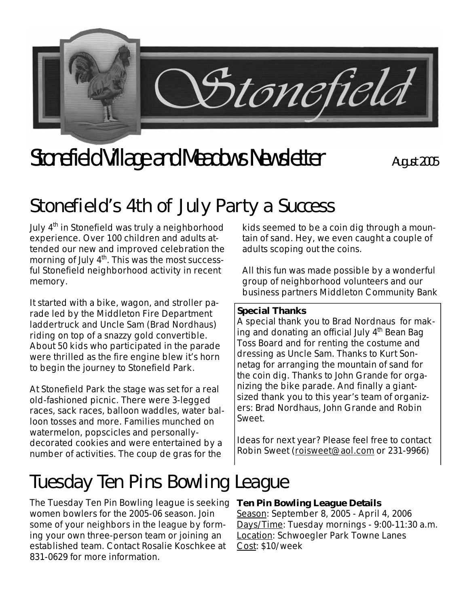

# Stonefield Village and Meadows Newsletter **August 2005**

### **Stonefield's 4th of July Party a Success**

July 4<sup>th</sup> in Stonefield was truly a neighborhood experience. Over 100 children and adults attended our new and improved celebration the morning of July  $4<sup>th</sup>$ . This was the most successful Stonefield neighborhood activity in recent memory.

It started with a bike, wagon, and stroller parade led by the Middleton Fire Department laddertruck and Uncle Sam (Brad Nordhaus) riding on top of a snazzy gold convertible. About 50 kids who participated in the parade were thrilled as the fire engine blew it's horn to begin the journey to Stonefield Park.

At Stonefield Park the stage was set for a real old-fashioned picnic. There were 3-legged races, sack races, balloon waddles, water balloon tosses and more. Families munched on watermelon, popscicles and personallydecorated cookies and were entertained by a number of activities. The coup de gras for the

kids seemed to be a coin dig through a mountain of sand. Hey, we even caught a couple of adults scoping out the coins.

All this fun was made possible by a wonderful group of neighborhood volunteers and our business partners Middleton Community Bank

#### **Special Thanks**

A special thank you to Brad Nordnaus for making and donating an official July  $4<sup>th</sup>$  Bean Bag Toss Board and for renting the costume and dressing as Uncle Sam. Thanks to Kurt Sonnetag for arranging the mountain of sand for the coin dig. Thanks to John Grande for organizing the bike parade. And finally a giantsized thank you to this year's team of organizers: Brad Nordhaus, John Grande and Robin Sweet.

Ideas for next year? Please feel free to contact Robin Sweet (roisweet@aol.com or 231-9966)

## **Tuesday Ten Pins Bowling League**

The Tuesday Ten Pin Bowling league is seeking women bowlers for the 2005-06 season. Join some of your neighbors in the league by forming your own three-person team or joining an established team. Contact Rosalie Koschkee at 831-0629 for more information.

#### **Ten Pin Bowling League Details**

Season: September 8, 2005 - April 4, 2006 Days/Time: Tuesday mornings - 9:00-11:30 a.m. Location: Schwoegler Park Towne Lanes Cost: \$10/week